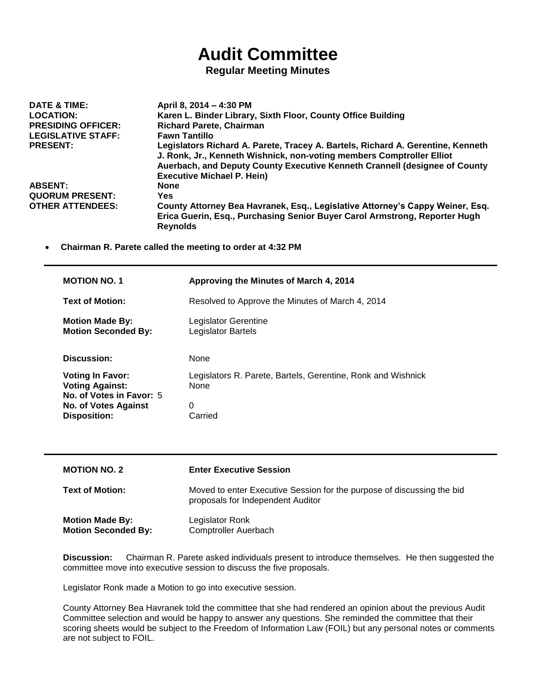## **Audit Committee**

## **Regular Meeting Minutes**

| DATE & TIME:              | April 8, 2014 - 4:30 PM                                                                                                                                                                                                                                                     |
|---------------------------|-----------------------------------------------------------------------------------------------------------------------------------------------------------------------------------------------------------------------------------------------------------------------------|
| <b>LOCATION:</b>          | Karen L. Binder Library, Sixth Floor, County Office Building                                                                                                                                                                                                                |
| <b>PRESIDING OFFICER:</b> | <b>Richard Parete, Chairman</b>                                                                                                                                                                                                                                             |
| <b>LEGISLATIVE STAFF:</b> | <b>Fawn Tantillo</b>                                                                                                                                                                                                                                                        |
| <b>PRESENT:</b>           | Legislators Richard A. Parete, Tracey A. Bartels, Richard A. Gerentine, Kenneth<br>J. Ronk, Jr., Kenneth Wishnick, non-voting members Comptroller Elliot<br>Auerbach, and Deputy County Executive Kenneth Crannell (designee of County<br><b>Executive Michael P. Hein)</b> |
| <b>ABSENT:</b>            | <b>None</b>                                                                                                                                                                                                                                                                 |
| <b>QUORUM PRESENT:</b>    | Yes                                                                                                                                                                                                                                                                         |
| <b>OTHER ATTENDEES:</b>   | County Attorney Bea Havranek, Esq., Legislative Attorney's Cappy Weiner, Esq.<br>Erica Guerin, Esq., Purchasing Senior Buyer Carol Armstrong, Reporter Hugh<br><b>Reynolds</b>                                                                                              |

**Chairman R. Parete called the meeting to order at 4:32 PM**

| <b>MOTION NO. 1</b>                                                                                                                 | Approving the Minutes of March 4, 2014                               |
|-------------------------------------------------------------------------------------------------------------------------------------|----------------------------------------------------------------------|
| <b>Text of Motion:</b>                                                                                                              | Resolved to Approve the Minutes of March 4, 2014                     |
| <b>Motion Made By:</b><br><b>Motion Seconded By:</b>                                                                                | Legislator Gerentine<br>Legislator Bartels                           |
| <b>Discussion:</b>                                                                                                                  | None                                                                 |
| <b>Voting In Favor:</b><br><b>Voting Against:</b><br>No. of Votes in Favor: 5<br><b>No. of Votes Against</b><br><b>Disposition:</b> | Legislators R. Parete, Bartels, Gerentine, Ronk and Wishnick<br>None |
|                                                                                                                                     | 0<br>Carried                                                         |

| <b>MOTION NO. 2</b>                                  | <b>Enter Executive Session</b>                                                                              |
|------------------------------------------------------|-------------------------------------------------------------------------------------------------------------|
| <b>Text of Motion:</b>                               | Moved to enter Executive Session for the purpose of discussing the bid<br>proposals for Independent Auditor |
| <b>Motion Made By:</b><br><b>Motion Seconded By:</b> | Legislator Ronk<br><b>Comptroller Auerbach</b>                                                              |

**Discussion:** Chairman R. Parete asked individuals present to introduce themselves. He then suggested the committee move into executive session to discuss the five proposals.

Legislator Ronk made a Motion to go into executive session.

County Attorney Bea Havranek told the committee that she had rendered an opinion about the previous Audit Committee selection and would be happy to answer any questions. She reminded the committee that their scoring sheets would be subject to the Freedom of Information Law (FOIL) but any personal notes or comments are not subject to FOIL.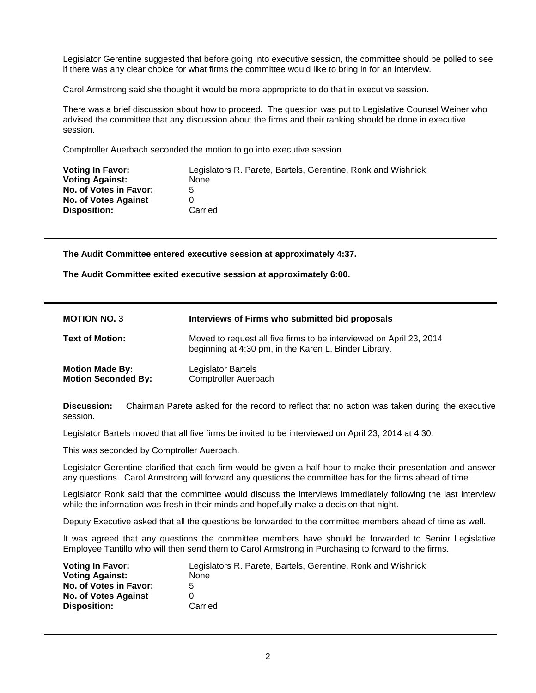Legislator Gerentine suggested that before going into executive session, the committee should be polled to see if there was any clear choice for what firms the committee would like to bring in for an interview.

Carol Armstrong said she thought it would be more appropriate to do that in executive session.

There was a brief discussion about how to proceed. The question was put to Legislative Counsel Weiner who advised the committee that any discussion about the firms and their ranking should be done in executive session.

Comptroller Auerbach seconded the motion to go into executive session.

| <b>Voting In Favor:</b>     | Legislators R. Parete, Bartels, Gerentine, Ronk and Wishnick |
|-----------------------------|--------------------------------------------------------------|
| <b>Voting Against:</b>      | None                                                         |
| No. of Votes in Favor:      | 5                                                            |
| <b>No. of Votes Against</b> |                                                              |
| <b>Disposition:</b>         | Carried                                                      |

**The Audit Committee entered executive session at approximately 4:37.**

**The Audit Committee exited executive session at approximately 6:00.**

| <b>MOTION NO. 3</b>                                  | Interviews of Firms who submitted bid proposals                                                                              |
|------------------------------------------------------|------------------------------------------------------------------------------------------------------------------------------|
| <b>Text of Motion:</b>                               | Moved to request all five firms to be interviewed on April 23, 2014<br>beginning at 4:30 pm, in the Karen L. Binder Library. |
| <b>Motion Made By:</b><br><b>Motion Seconded By:</b> | Legislator Bartels<br><b>Comptroller Auerbach</b>                                                                            |

**Discussion:** Chairman Parete asked for the record to reflect that no action was taken during the executive session.

Legislator Bartels moved that all five firms be invited to be interviewed on April 23, 2014 at 4:30.

This was seconded by Comptroller Auerbach.

Legislator Gerentine clarified that each firm would be given a half hour to make their presentation and answer any questions. Carol Armstrong will forward any questions the committee has for the firms ahead of time.

Legislator Ronk said that the committee would discuss the interviews immediately following the last interview while the information was fresh in their minds and hopefully make a decision that night.

Deputy Executive asked that all the questions be forwarded to the committee members ahead of time as well.

It was agreed that any questions the committee members have should be forwarded to Senior Legislative Employee Tantillo who will then send them to Carol Armstrong in Purchasing to forward to the firms.

| <b>Voting In Favor:</b>     | Legislators R. Parete, Bartels, Gerentine, Ronk and Wishnick |
|-----------------------------|--------------------------------------------------------------|
| <b>Voting Against:</b>      | None                                                         |
| No. of Votes in Favor:      | 5                                                            |
| <b>No. of Votes Against</b> |                                                              |
| <b>Disposition:</b>         | Carried                                                      |